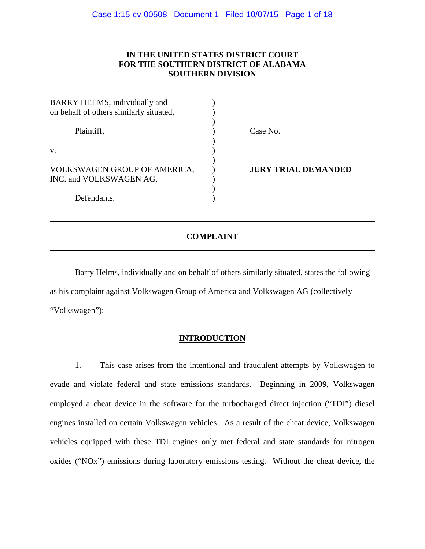# **IN THE UNITED STATES DISTRICT COURT FOR THE SOUTHERN DISTRICT OF ALABAMA SOUTHERN DIVISION**

| BARRY HELMS, individually and                           |                            |
|---------------------------------------------------------|----------------------------|
| on behalf of others similarly situated,                 |                            |
| Plaintiff,                                              | Case No.                   |
| V.                                                      |                            |
| VOLKSWAGEN GROUP OF AMERICA,<br>INC. and VOLKSWAGEN AG, | <b>JURY TRIAL DEMANDED</b> |
| Defendants.                                             |                            |

# **COMPLAINT**

Barry Helms, individually and on behalf of others similarly situated, states the following as his complaint against Volkswagen Group of America and Volkswagen AG (collectively "Volkswagen"):

# **INTRODUCTION**

1. This case arises from the intentional and fraudulent attempts by Volkswagen to evade and violate federal and state emissions standards. Beginning in 2009, Volkswagen employed a cheat device in the software for the turbocharged direct injection ("TDI") diesel engines installed on certain Volkswagen vehicles. As a result of the cheat device, Volkswagen vehicles equipped with these TDI engines only met federal and state standards for nitrogen oxides ("NOx") emissions during laboratory emissions testing. Without the cheat device, the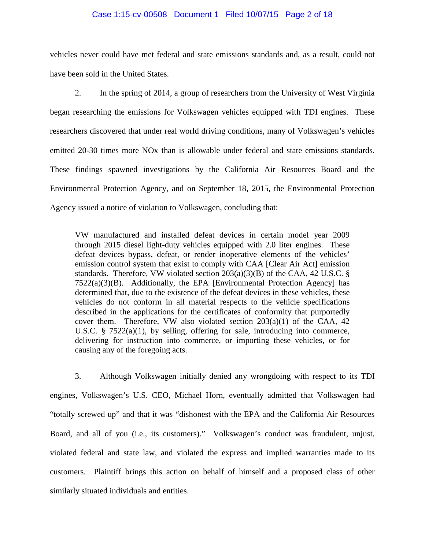#### Case 1:15-cv-00508 Document 1 Filed 10/07/15 Page 2 of 18

vehicles never could have met federal and state emissions standards and, as a result, could not have been sold in the United States.

2. In the spring of 2014, a group of researchers from the University of West Virginia began researching the emissions for Volkswagen vehicles equipped with TDI engines. These researchers discovered that under real world driving conditions, many of Volkswagen's vehicles emitted 20-30 times more NOx than is allowable under federal and state emissions standards. These findings spawned investigations by the California Air Resources Board and the Environmental Protection Agency, and on September 18, 2015, the Environmental Protection Agency issued a notice of violation to Volkswagen, concluding that:

VW manufactured and installed defeat devices in certain model year 2009 through 2015 diesel light-duty vehicles equipped with 2.0 liter engines. These defeat devices bypass, defeat, or render inoperative elements of the vehicles' emission control system that exist to comply with CAA [Clear Air Act] emission standards. Therefore, VW violated section  $203(a)(3)(B)$  of the CAA, 42 U.S.C. §  $7522(a)(3)(B)$ . Additionally, the EPA [Environmental Protection Agency] has determined that, due to the existence of the defeat devices in these vehicles, these vehicles do not conform in all material respects to the vehicle specifications described in the applications for the certificates of conformity that purportedly cover them. Therefore, VW also violated section  $203(a)(1)$  of the CAA, 42 U.S.C. § 7522(a)(1), by selling, offering for sale, introducing into commerce, delivering for instruction into commerce, or importing these vehicles, or for causing any of the foregoing acts.

3. Although Volkswagen initially denied any wrongdoing with respect to its TDI engines, Volkswagen's U.S. CEO, Michael Horn, eventually admitted that Volkswagen had "totally screwed up" and that it was "dishonest with the EPA and the California Air Resources Board, and all of you (i.e., its customers)." Volkswagen's conduct was fraudulent, unjust, violated federal and state law, and violated the express and implied warranties made to its customers. Plaintiff brings this action on behalf of himself and a proposed class of other similarly situated individuals and entities.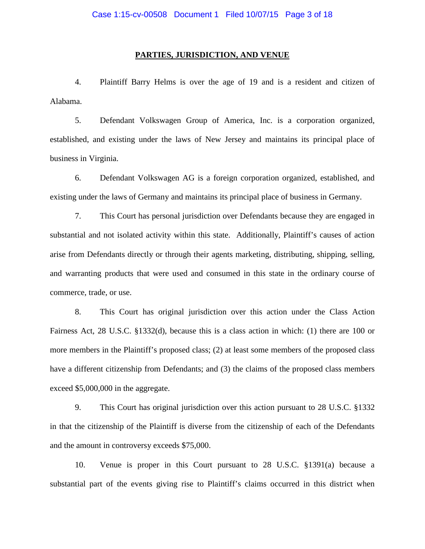#### **PARTIES, JURISDICTION, AND VENUE**

4. Plaintiff Barry Helms is over the age of 19 and is a resident and citizen of Alabama.

5. Defendant Volkswagen Group of America, Inc. is a corporation organized, established, and existing under the laws of New Jersey and maintains its principal place of business in Virginia.

6. Defendant Volkswagen AG is a foreign corporation organized, established, and existing under the laws of Germany and maintains its principal place of business in Germany.

7. This Court has personal jurisdiction over Defendants because they are engaged in substantial and not isolated activity within this state. Additionally, Plaintiff's causes of action arise from Defendants directly or through their agents marketing, distributing, shipping, selling, and warranting products that were used and consumed in this state in the ordinary course of commerce, trade, or use.

8. This Court has original jurisdiction over this action under the Class Action Fairness Act, 28 U.S.C. §1332(d), because this is a class action in which: (1) there are 100 or more members in the Plaintiff's proposed class; (2) at least some members of the proposed class have a different citizenship from Defendants; and (3) the claims of the proposed class members exceed \$5,000,000 in the aggregate.

9. This Court has original jurisdiction over this action pursuant to 28 U.S.C. §1332 in that the citizenship of the Plaintiff is diverse from the citizenship of each of the Defendants and the amount in controversy exceeds \$75,000.

10. Venue is proper in this Court pursuant to 28 U.S.C. §1391(a) because a substantial part of the events giving rise to Plaintiff's claims occurred in this district when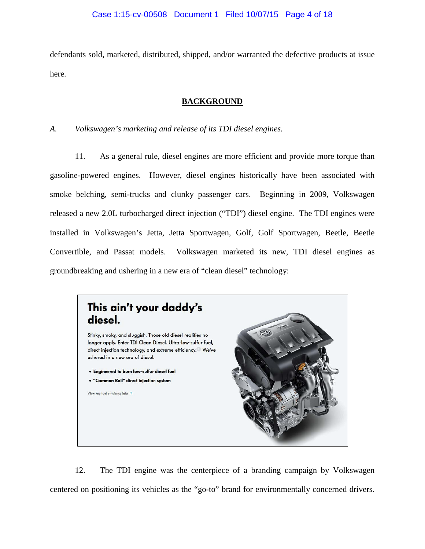defendants sold, marketed, distributed, shipped, and/or warranted the defective products at issue here.

# **BACKGROUND**

# *A. Volkswagen's marketing and release of its TDI diesel engines.*

11. As a general rule, diesel engines are more efficient and provide more torque than gasoline-powered engines. However, diesel engines historically have been associated with smoke belching, semi-trucks and clunky passenger cars. Beginning in 2009, Volkswagen released a new 2.0L turbocharged direct injection ("TDI") diesel engine. The TDI engines were installed in Volkswagen's Jetta, Jetta Sportwagen, Golf, Golf Sportwagen, Beetle, Beetle Convertible, and Passat models. Volkswagen marketed its new, TDI diesel engines as groundbreaking and ushering in a new era of "clean diesel" technology:



12. The TDI engine was the centerpiece of a branding campaign by Volkswagen centered on positioning its vehicles as the "go-to" brand for environmentally concerned drivers.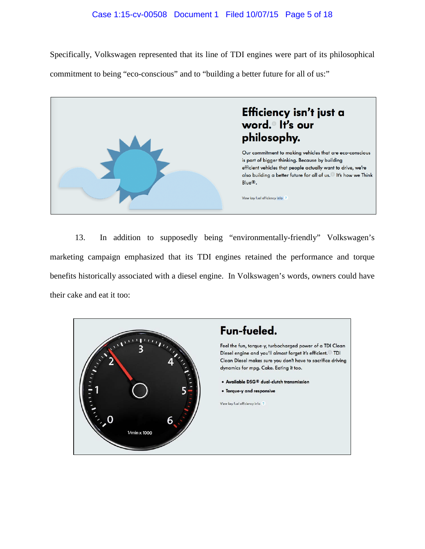# Case 1:15-cv-00508 Document 1 Filed 10/07/15 Page 5 of 18

Specifically, Volkswagen represented that its line of TDI engines were part of its philosophical commitment to being "eco-conscious" and to "building a better future for all of us:"



13. In addition to supposedly being "environmentally-friendly" Volkswagen's marketing campaign emphasized that its TDI engines retained the performance and torque benefits historically associated with a diesel engine. In Volkswagen's words, owners could have their cake and eat it too:

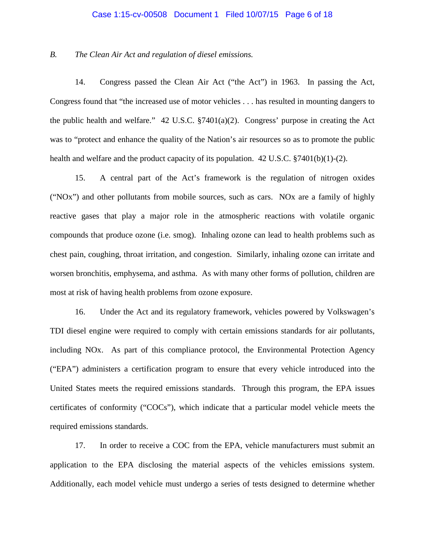#### Case 1:15-cv-00508 Document 1 Filed 10/07/15 Page 6 of 18

#### *B. The Clean Air Act and regulation of diesel emissions.*

14. Congress passed the Clean Air Act ("the Act") in 1963. In passing the Act, Congress found that "the increased use of motor vehicles . . . has resulted in mounting dangers to the public health and welfare." 42 U.S.C. §7401(a)(2). Congress' purpose in creating the Act was to "protect and enhance the quality of the Nation's air resources so as to promote the public health and welfare and the product capacity of its population. 42 U.S.C. §7401(b)(1)-(2).

15. A central part of the Act's framework is the regulation of nitrogen oxides ("NOx") and other pollutants from mobile sources, such as cars. NOx are a family of highly reactive gases that play a major role in the atmospheric reactions with volatile organic compounds that produce ozone (i.e. smog). Inhaling ozone can lead to health problems such as chest pain, coughing, throat irritation, and congestion. Similarly, inhaling ozone can irritate and worsen bronchitis, emphysema, and asthma. As with many other forms of pollution, children are most at risk of having health problems from ozone exposure.

16. Under the Act and its regulatory framework, vehicles powered by Volkswagen's TDI diesel engine were required to comply with certain emissions standards for air pollutants, including NOx. As part of this compliance protocol, the Environmental Protection Agency ("EPA") administers a certification program to ensure that every vehicle introduced into the United States meets the required emissions standards. Through this program, the EPA issues certificates of conformity ("COCs"), which indicate that a particular model vehicle meets the required emissions standards.

17. In order to receive a COC from the EPA, vehicle manufacturers must submit an application to the EPA disclosing the material aspects of the vehicles emissions system. Additionally, each model vehicle must undergo a series of tests designed to determine whether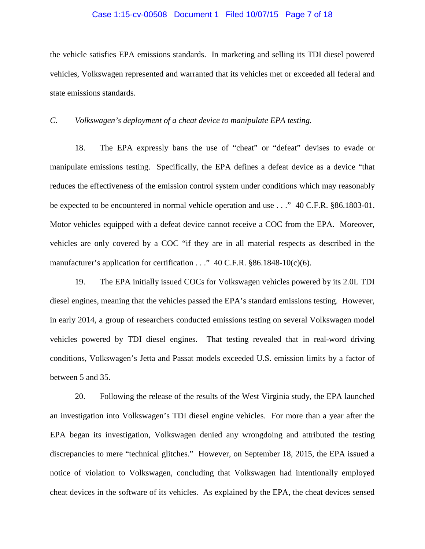#### Case 1:15-cv-00508 Document 1 Filed 10/07/15 Page 7 of 18

the vehicle satisfies EPA emissions standards. In marketing and selling its TDI diesel powered vehicles, Volkswagen represented and warranted that its vehicles met or exceeded all federal and state emissions standards.

*C. Volkswagen's deployment of a cheat device to manipulate EPA testing.*

18. The EPA expressly bans the use of "cheat" or "defeat" devises to evade or manipulate emissions testing. Specifically, the EPA defines a defeat device as a device "that reduces the effectiveness of the emission control system under conditions which may reasonably be expected to be encountered in normal vehicle operation and use . . ." 40 C.F.R. §86.1803-01. Motor vehicles equipped with a defeat device cannot receive a COC from the EPA. Moreover, vehicles are only covered by a COC "if they are in all material respects as described in the manufacturer's application for certification . . ." 40 C.F.R. §86.1848-10(c)(6).

19. The EPA initially issued COCs for Volkswagen vehicles powered by its 2.0L TDI diesel engines, meaning that the vehicles passed the EPA's standard emissions testing. However, in early 2014, a group of researchers conducted emissions testing on several Volkswagen model vehicles powered by TDI diesel engines. That testing revealed that in real-word driving conditions, Volkswagen's Jetta and Passat models exceeded U.S. emission limits by a factor of between 5 and 35.

20. Following the release of the results of the West Virginia study, the EPA launched an investigation into Volkswagen's TDI diesel engine vehicles. For more than a year after the EPA began its investigation, Volkswagen denied any wrongdoing and attributed the testing discrepancies to mere "technical glitches." However, on September 18, 2015, the EPA issued a notice of violation to Volkswagen, concluding that Volkswagen had intentionally employed cheat devices in the software of its vehicles. As explained by the EPA, the cheat devices sensed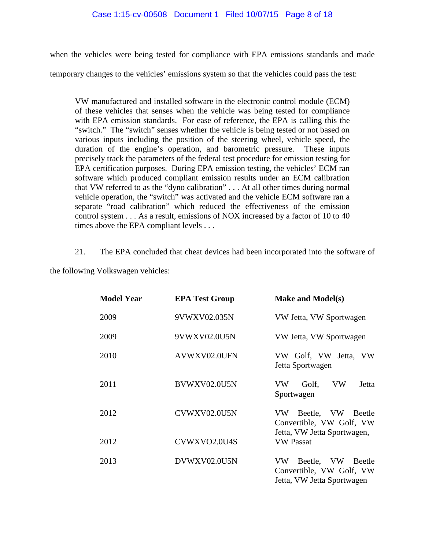when the vehicles were being tested for compliance with EPA emissions standards and made

temporary changes to the vehicles' emissions system so that the vehicles could pass the test:

VW manufactured and installed software in the electronic control module (ECM) of these vehicles that senses when the vehicle was being tested for compliance with EPA emission standards. For ease of reference, the EPA is calling this the "switch." The "switch" senses whether the vehicle is being tested or not based on various inputs including the position of the steering wheel, vehicle speed, the duration of the engine's operation, and barometric pressure. These inputs precisely track the parameters of the federal test procedure for emission testing for EPA certification purposes. During EPA emission testing, the vehicles' ECM ran software which produced compliant emission results under an ECM calibration that VW referred to as the "dyno calibration" . . . At all other times during normal vehicle operation, the "switch" was activated and the vehicle ECM software ran a separate "road calibration" which reduced the effectiveness of the emission control system . . . As a result, emissions of NOX increased by a factor of 10 to 40 times above the EPA compliant levels . . .

21. The EPA concluded that cheat devices had been incorporated into the software of

the following Volkswagen vehicles:

| <b>Model Year</b> | <b>EPA Test Group</b> | <b>Make and Model(s)</b>                                                            |  |  |  |
|-------------------|-----------------------|-------------------------------------------------------------------------------------|--|--|--|
| 2009              | 9VWXV02.035N          | VW Jetta, VW Sportwagen                                                             |  |  |  |
| 2009              | 9VWXV02.0U5N          | VW Jetta, VW Sportwagen                                                             |  |  |  |
| 2010              | AVWXV02.0UFN          | VW Golf, VW Jetta, VW<br>Jetta Sportwagen                                           |  |  |  |
| 2011              | BVWXV02.0U5N          | VW<br>VW<br>Jetta<br>Golf,<br>Sportwagen                                            |  |  |  |
| 2012              | CVWXV02.0U5N          | VW Beetle, VW Beetle<br>Convertible, VW Golf, VW<br>Jetta, VW Jetta Sportwagen,     |  |  |  |
| 2012              | CVWXVO2.0U4S          | <b>VW Passat</b>                                                                    |  |  |  |
| 2013              | DVWXV02.0U5N          | Beetle, VW Beetle<br>VW -<br>Convertible, VW Golf, VW<br>Jetta, VW Jetta Sportwagen |  |  |  |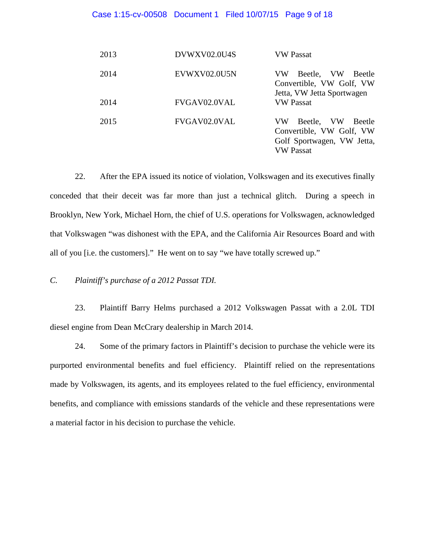#### Case 1:15-cv-00508 Document 1 Filed 10/07/15 Page 9 of 18

| 2013 | DVWXV02.0U4S | VW Passat                                                                                                 |
|------|--------------|-----------------------------------------------------------------------------------------------------------|
| 2014 | EVWXV02.0U5N | Beetle, VW<br>VW<br>Beetle<br>Convertible, VW Golf, VW<br>Jetta, VW Jetta Sportwagen                      |
| 2014 | FVGAV02.0VAL | <b>VW Passat</b>                                                                                          |
| 2015 | FVGAV02.0VAL | Beetle, VW<br>VW.<br>Beetle<br>Convertible, VW Golf, VW<br>Golf Sportwagen, VW Jetta,<br><b>VW Passat</b> |

22. After the EPA issued its notice of violation, Volkswagen and its executives finally conceded that their deceit was far more than just a technical glitch. During a speech in Brooklyn, New York, Michael Horn, the chief of U.S. operations for Volkswagen, acknowledged that Volkswagen "was dishonest with the EPA, and the California Air Resources Board and with all of you [i.e. the customers]." He went on to say "we have totally screwed up."

*C. Plaintiff's purchase of a 2012 Passat TDI.*

23. Plaintiff Barry Helms purchased a 2012 Volkswagen Passat with a 2.0L TDI diesel engine from Dean McCrary dealership in March 2014.

24. Some of the primary factors in Plaintiff's decision to purchase the vehicle were its purported environmental benefits and fuel efficiency. Plaintiff relied on the representations made by Volkswagen, its agents, and its employees related to the fuel efficiency, environmental benefits, and compliance with emissions standards of the vehicle and these representations were a material factor in his decision to purchase the vehicle.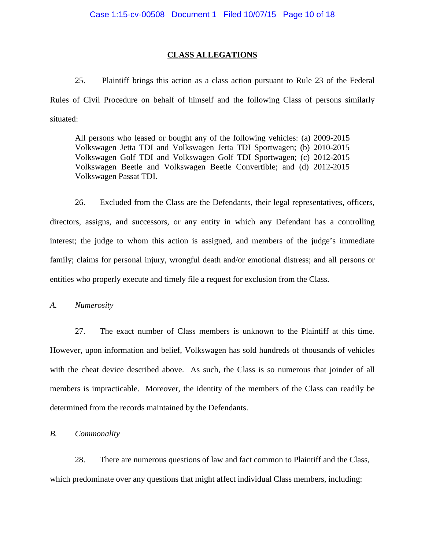# **CLASS ALLEGATIONS**

25. Plaintiff brings this action as a class action pursuant to Rule 23 of the Federal Rules of Civil Procedure on behalf of himself and the following Class of persons similarly situated:

All persons who leased or bought any of the following vehicles: (a) 2009-2015 Volkswagen Jetta TDI and Volkswagen Jetta TDI Sportwagen; (b) 2010-2015 Volkswagen Golf TDI and Volkswagen Golf TDI Sportwagen; (c) 2012-2015 Volkswagen Beetle and Volkswagen Beetle Convertible; and (d) 2012-2015 Volkswagen Passat TDI.

26. Excluded from the Class are the Defendants, their legal representatives, officers, directors, assigns, and successors, or any entity in which any Defendant has a controlling interest; the judge to whom this action is assigned, and members of the judge's immediate family; claims for personal injury, wrongful death and/or emotional distress; and all persons or entities who properly execute and timely file a request for exclusion from the Class.

*A. Numerosity* 

27. The exact number of Class members is unknown to the Plaintiff at this time. However, upon information and belief, Volkswagen has sold hundreds of thousands of vehicles with the cheat device described above. As such, the Class is so numerous that joinder of all members is impracticable. Moreover, the identity of the members of the Class can readily be determined from the records maintained by the Defendants.

*B. Commonality*

28. There are numerous questions of law and fact common to Plaintiff and the Class, which predominate over any questions that might affect individual Class members, including: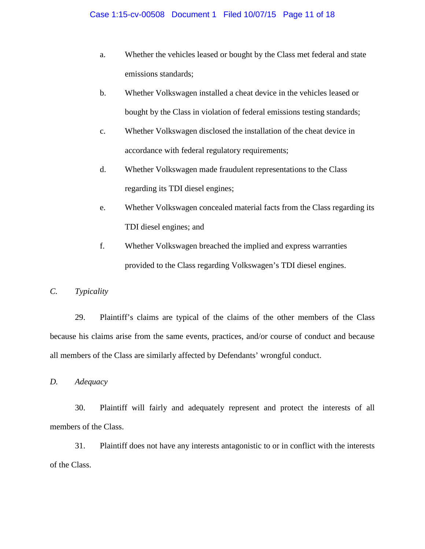- a. Whether the vehicles leased or bought by the Class met federal and state emissions standards;
- b. Whether Volkswagen installed a cheat device in the vehicles leased or bought by the Class in violation of federal emissions testing standards;
- c. Whether Volkswagen disclosed the installation of the cheat device in accordance with federal regulatory requirements;
- d. Whether Volkswagen made fraudulent representations to the Class regarding its TDI diesel engines;
- e. Whether Volkswagen concealed material facts from the Class regarding its TDI diesel engines; and
- f. Whether Volkswagen breached the implied and express warranties provided to the Class regarding Volkswagen's TDI diesel engines.

# *C. Typicality*

29. Plaintiff's claims are typical of the claims of the other members of the Class because his claims arise from the same events, practices, and/or course of conduct and because all members of the Class are similarly affected by Defendants' wrongful conduct.

*D. Adequacy*

30. Plaintiff will fairly and adequately represent and protect the interests of all members of the Class.

31. Plaintiff does not have any interests antagonistic to or in conflict with the interests of the Class.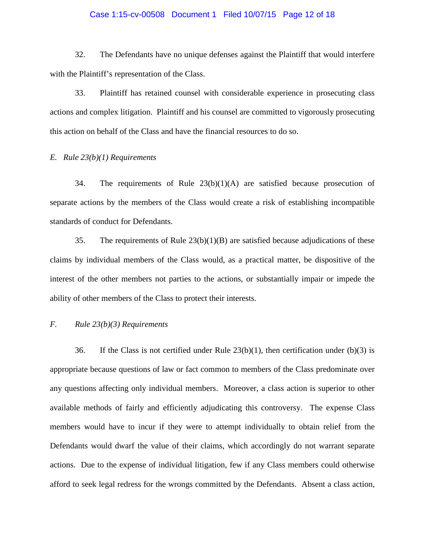#### Case 1:15-cv-00508 Document 1 Filed 10/07/15 Page 12 of 18

32. The Defendants have no unique defenses against the Plaintiff that would interfere with the Plaintiff's representation of the Class.

33. Plaintiff has retained counsel with considerable experience in prosecuting class actions and complex litigation. Plaintiff and his counsel are committed to vigorously prosecuting this action on behalf of the Class and have the financial resources to do so.

# *E. Rule 23(b)(1) Requirements*

34. The requirements of Rule 23(b)(1)(A) are satisfied because prosecution of separate actions by the members of the Class would create a risk of establishing incompatible standards of conduct for Defendants.

35. The requirements of Rule 23(b)(1)(B) are satisfied because adjudications of these claims by individual members of the Class would, as a practical matter, be dispositive of the interest of the other members not parties to the actions, or substantially impair or impede the ability of other members of the Class to protect their interests.

# *F. Rule 23(b)(3) Requirements*

36. If the Class is not certified under Rule  $23(b)(1)$ , then certification under (b)(3) is appropriate because questions of law or fact common to members of the Class predominate over any questions affecting only individual members. Moreover, a class action is superior to other available methods of fairly and efficiently adjudicating this controversy. The expense Class members would have to incur if they were to attempt individually to obtain relief from the Defendants would dwarf the value of their claims, which accordingly do not warrant separate actions. Due to the expense of individual litigation, few if any Class members could otherwise afford to seek legal redress for the wrongs committed by the Defendants. Absent a class action,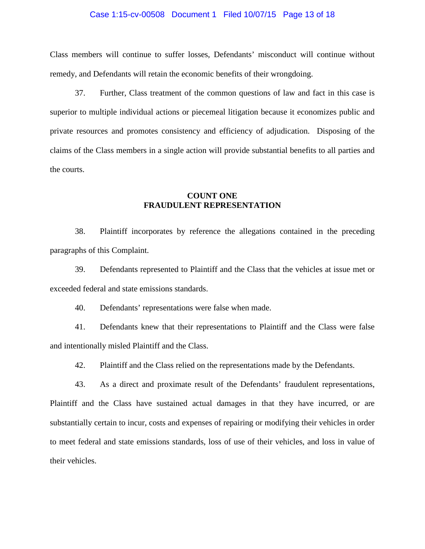#### Case 1:15-cv-00508 Document 1 Filed 10/07/15 Page 13 of 18

Class members will continue to suffer losses, Defendants' misconduct will continue without remedy, and Defendants will retain the economic benefits of their wrongdoing.

37. Further, Class treatment of the common questions of law and fact in this case is superior to multiple individual actions or piecemeal litigation because it economizes public and private resources and promotes consistency and efficiency of adjudication. Disposing of the claims of the Class members in a single action will provide substantial benefits to all parties and the courts.

# **COUNT ONE FRAUDULENT REPRESENTATION**

38. Plaintiff incorporates by reference the allegations contained in the preceding paragraphs of this Complaint.

39. Defendants represented to Plaintiff and the Class that the vehicles at issue met or exceeded federal and state emissions standards.

40. Defendants' representations were false when made.

41. Defendants knew that their representations to Plaintiff and the Class were false and intentionally misled Plaintiff and the Class.

42. Plaintiff and the Class relied on the representations made by the Defendants.

43. As a direct and proximate result of the Defendants' fraudulent representations, Plaintiff and the Class have sustained actual damages in that they have incurred, or are substantially certain to incur, costs and expenses of repairing or modifying their vehicles in order to meet federal and state emissions standards, loss of use of their vehicles, and loss in value of their vehicles.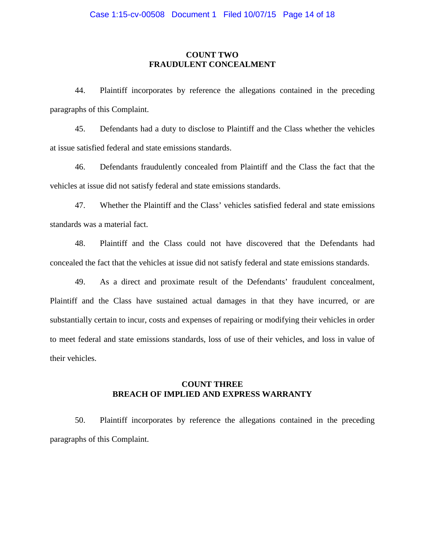# **COUNT TWO FRAUDULENT CONCEALMENT**

44. Plaintiff incorporates by reference the allegations contained in the preceding paragraphs of this Complaint.

45. Defendants had a duty to disclose to Plaintiff and the Class whether the vehicles at issue satisfied federal and state emissions standards.

46. Defendants fraudulently concealed from Plaintiff and the Class the fact that the vehicles at issue did not satisfy federal and state emissions standards.

47. Whether the Plaintiff and the Class' vehicles satisfied federal and state emissions standards was a material fact.

48. Plaintiff and the Class could not have discovered that the Defendants had concealed the fact that the vehicles at issue did not satisfy federal and state emissions standards.

49. As a direct and proximate result of the Defendants' fraudulent concealment, Plaintiff and the Class have sustained actual damages in that they have incurred, or are substantially certain to incur, costs and expenses of repairing or modifying their vehicles in order to meet federal and state emissions standards, loss of use of their vehicles, and loss in value of their vehicles.

# **COUNT THREE BREACH OF IMPLIED AND EXPRESS WARRANTY**

50. Plaintiff incorporates by reference the allegations contained in the preceding paragraphs of this Complaint.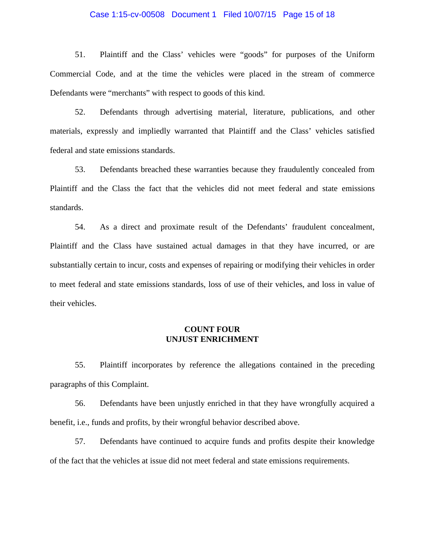#### Case 1:15-cv-00508 Document 1 Filed 10/07/15 Page 15 of 18

51. Plaintiff and the Class' vehicles were "goods" for purposes of the Uniform Commercial Code, and at the time the vehicles were placed in the stream of commerce Defendants were "merchants" with respect to goods of this kind.

52. Defendants through advertising material, literature, publications, and other materials, expressly and impliedly warranted that Plaintiff and the Class' vehicles satisfied federal and state emissions standards.

53. Defendants breached these warranties because they fraudulently concealed from Plaintiff and the Class the fact that the vehicles did not meet federal and state emissions standards.

54. As a direct and proximate result of the Defendants' fraudulent concealment, Plaintiff and the Class have sustained actual damages in that they have incurred, or are substantially certain to incur, costs and expenses of repairing or modifying their vehicles in order to meet federal and state emissions standards, loss of use of their vehicles, and loss in value of their vehicles.

# **COUNT FOUR UNJUST ENRICHMENT**

55. Plaintiff incorporates by reference the allegations contained in the preceding paragraphs of this Complaint.

56. Defendants have been unjustly enriched in that they have wrongfully acquired a benefit, i.e., funds and profits, by their wrongful behavior described above.

57. Defendants have continued to acquire funds and profits despite their knowledge of the fact that the vehicles at issue did not meet federal and state emissions requirements.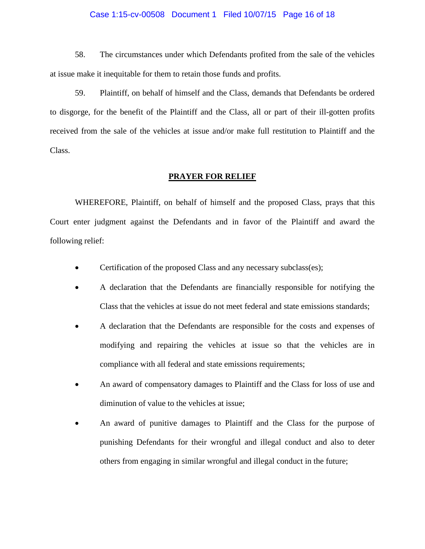#### Case 1:15-cv-00508 Document 1 Filed 10/07/15 Page 16 of 18

58. The circumstances under which Defendants profited from the sale of the vehicles at issue make it inequitable for them to retain those funds and profits.

59. Plaintiff, on behalf of himself and the Class, demands that Defendants be ordered to disgorge, for the benefit of the Plaintiff and the Class, all or part of their ill-gotten profits received from the sale of the vehicles at issue and/or make full restitution to Plaintiff and the Class.

#### **PRAYER FOR RELIEF**

WHEREFORE, Plaintiff, on behalf of himself and the proposed Class, prays that this Court enter judgment against the Defendants and in favor of the Plaintiff and award the following relief:

- Certification of the proposed Class and any necessary subclass(es);
- A declaration that the Defendants are financially responsible for notifying the Class that the vehicles at issue do not meet federal and state emissions standards;
- A declaration that the Defendants are responsible for the costs and expenses of modifying and repairing the vehicles at issue so that the vehicles are in compliance with all federal and state emissions requirements;
- An award of compensatory damages to Plaintiff and the Class for loss of use and diminution of value to the vehicles at issue;
- An award of punitive damages to Plaintiff and the Class for the purpose of punishing Defendants for their wrongful and illegal conduct and also to deter others from engaging in similar wrongful and illegal conduct in the future;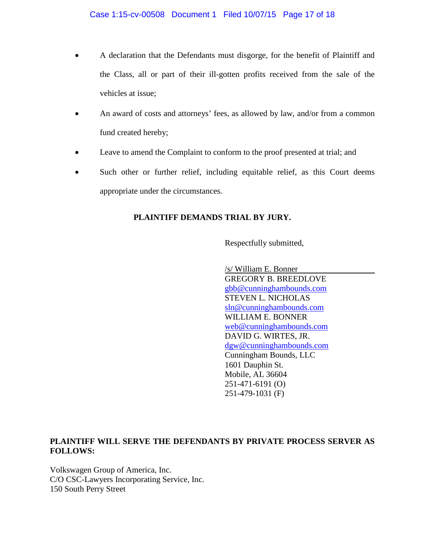- A declaration that the Defendants must disgorge, for the benefit of Plaintiff and the Class, all or part of their ill-gotten profits received from the sale of the vehicles at issue;
- An award of costs and attorneys' fees, as allowed by law, and/or from a common fund created hereby;
- Leave to amend the Complaint to conform to the proof presented at trial; and
- Such other or further relief, including equitable relief, as this Court deems appropriate under the circumstances.

# **PLAINTIFF DEMANDS TRIAL BY JURY.**

Respectfully submitted,

/s/ William E. Bonner GREGORY B. BREEDLOVE [gbb@cunninghambounds.com](mailto:gbb@cunninghambounds.com) STEVEN L. NICHOLAS [sln@cunninghambounds.com](mailto:sln@cunninghambounds.com) WILLIAM E. BONNER [web@cunninghambounds.com](mailto:web@cunninghambounds.com) DAVID G. WIRTES, JR. [dgw@cunninghambounds.com](mailto:dgw@cunninghambounds.com) Cunningham Bounds, LLC 1601 Dauphin St. Mobile, AL 36604 251-471-6191 (O) 251-479-1031 (F)

# **PLAINTIFF WILL SERVE THE DEFENDANTS BY PRIVATE PROCESS SERVER AS FOLLOWS:**

Volkswagen Group of America, Inc. C/O CSC-Lawyers Incorporating Service, Inc. 150 South Perry Street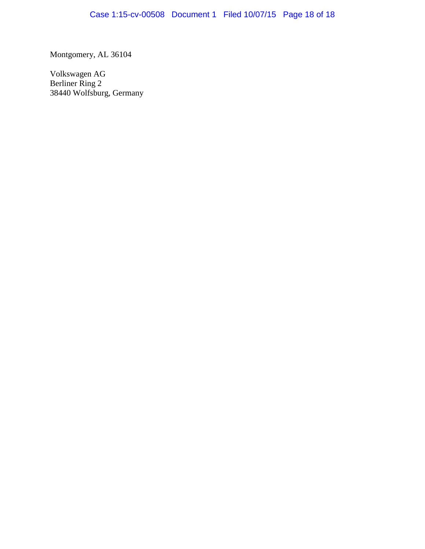Montgomery, AL 36104

Volkswagen AG Berliner Ring 2 38440 Wolfsburg, Germany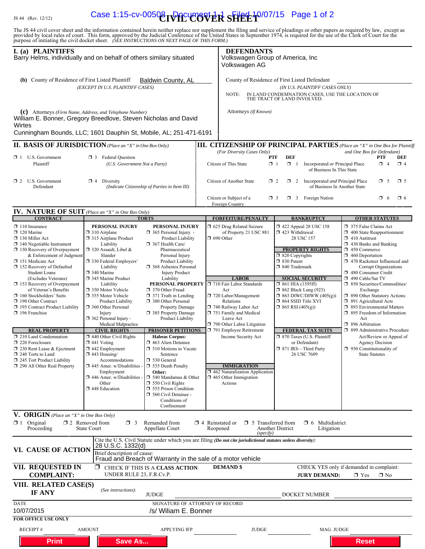# IS 44 (Rev. 12/12) **Case 1:15-cv-00508 DOCUMER SHEET** 0/07/15 Page 1 of 2

The JS 44 civil cover sheet and the information contained herein neither replace nor supplement the filing and service of pleadings or other papers as required by law, except as provided by local rules of court. This form,

| I. (a) PLAINTIFFS<br>Barry Helms, individually and on behalf of others similary situated                                                                                                                                                                                                                                                                                                                                                                                                                                                                                                                                                         |                                                                                                                                                                                                                                                                                                                                                                                                                                                                                                                                                                                                                                        |                                                                                                                                                                                                                                                                                                                                                                                                                                                                                                                                                                                                                                                                                                                        |                        | <b>DEFENDANTS</b><br>Volkswagen Group of America, Inc<br>Volkswagen AG                                                                                                                                                                                                                                                                                                                                                     |                                                                                                                                                                                                                         |                                                                                                                                                                                                                              |                                                                                                                                                                                                                                                                                                                                                                                                                                                                                                                                                                                                                                                 |
|--------------------------------------------------------------------------------------------------------------------------------------------------------------------------------------------------------------------------------------------------------------------------------------------------------------------------------------------------------------------------------------------------------------------------------------------------------------------------------------------------------------------------------------------------------------------------------------------------------------------------------------------------|----------------------------------------------------------------------------------------------------------------------------------------------------------------------------------------------------------------------------------------------------------------------------------------------------------------------------------------------------------------------------------------------------------------------------------------------------------------------------------------------------------------------------------------------------------------------------------------------------------------------------------------|------------------------------------------------------------------------------------------------------------------------------------------------------------------------------------------------------------------------------------------------------------------------------------------------------------------------------------------------------------------------------------------------------------------------------------------------------------------------------------------------------------------------------------------------------------------------------------------------------------------------------------------------------------------------------------------------------------------------|------------------------|----------------------------------------------------------------------------------------------------------------------------------------------------------------------------------------------------------------------------------------------------------------------------------------------------------------------------------------------------------------------------------------------------------------------------|-------------------------------------------------------------------------------------------------------------------------------------------------------------------------------------------------------------------------|------------------------------------------------------------------------------------------------------------------------------------------------------------------------------------------------------------------------------|-------------------------------------------------------------------------------------------------------------------------------------------------------------------------------------------------------------------------------------------------------------------------------------------------------------------------------------------------------------------------------------------------------------------------------------------------------------------------------------------------------------------------------------------------------------------------------------------------------------------------------------------------|
| (b) County of Residence of First Listed Plaintiff<br><b>Baldwin County, AL</b><br>(EXCEPT IN U.S. PLAINTIFF CASES)                                                                                                                                                                                                                                                                                                                                                                                                                                                                                                                               |                                                                                                                                                                                                                                                                                                                                                                                                                                                                                                                                                                                                                                        |                                                                                                                                                                                                                                                                                                                                                                                                                                                                                                                                                                                                                                                                                                                        |                        | County of Residence of First Listed Defendant<br>(IN U.S. PLAINTIFF CASES ONLY)<br>IN LAND CONDEMNATION CASES, USE THE LOCATION OF<br>NOTE:<br>THE TRACT OF LAND INVOLVED.                                                                                                                                                                                                                                                 |                                                                                                                                                                                                                         |                                                                                                                                                                                                                              |                                                                                                                                                                                                                                                                                                                                                                                                                                                                                                                                                                                                                                                 |
| (C) Attorneys (Firm Name, Address, and Telephone Number)<br>William E. Bonner, Gregory Breedlove, Steven Nicholas and David<br>Wirtes<br>Cunningham Bounds, LLC; 1601 Dauphin St, Mobile, AL; 251-471-6191                                                                                                                                                                                                                                                                                                                                                                                                                                       |                                                                                                                                                                                                                                                                                                                                                                                                                                                                                                                                                                                                                                        |                                                                                                                                                                                                                                                                                                                                                                                                                                                                                                                                                                                                                                                                                                                        |                        | Attorneys (If Known)                                                                                                                                                                                                                                                                                                                                                                                                       |                                                                                                                                                                                                                         |                                                                                                                                                                                                                              |                                                                                                                                                                                                                                                                                                                                                                                                                                                                                                                                                                                                                                                 |
| <b>II. BASIS OF JURISDICTION</b> (Place an "X" in One Box Only)                                                                                                                                                                                                                                                                                                                                                                                                                                                                                                                                                                                  |                                                                                                                                                                                                                                                                                                                                                                                                                                                                                                                                                                                                                                        |                                                                                                                                                                                                                                                                                                                                                                                                                                                                                                                                                                                                                                                                                                                        |                        |                                                                                                                                                                                                                                                                                                                                                                                                                            |                                                                                                                                                                                                                         |                                                                                                                                                                                                                              | <b>III. CITIZENSHIP OF PRINCIPAL PARTIES</b> (Place an "X" in One Box for Plaintiff                                                                                                                                                                                                                                                                                                                                                                                                                                                                                                                                                             |
| $\Box$ 1 U.S. Government<br>Plaintiff                                                                                                                                                                                                                                                                                                                                                                                                                                                                                                                                                                                                            | <b>3</b> Federal Question<br>(U.S. Government Not a Party)                                                                                                                                                                                                                                                                                                                                                                                                                                                                                                                                                                             |                                                                                                                                                                                                                                                                                                                                                                                                                                                                                                                                                                                                                                                                                                                        |                        | and One Box for Defendant)<br>(For Diversity Cases Only)<br><b>DEF</b><br>PTF<br>PTF<br>DEF<br>Citizen of This State<br>$\mathbf{X}$ 1<br>$\Box$ 1<br>Incorporated or Principal Place<br>$\Box$ 4<br>$\Box$ 4<br>of Business In This State                                                                                                                                                                                 |                                                                                                                                                                                                                         |                                                                                                                                                                                                                              |                                                                                                                                                                                                                                                                                                                                                                                                                                                                                                                                                                                                                                                 |
| $\Box$ 2 U.S. Government<br>Defendant                                                                                                                                                                                                                                                                                                                                                                                                                                                                                                                                                                                                            | $\boxtimes$ 4 Diversity                                                                                                                                                                                                                                                                                                                                                                                                                                                                                                                                                                                                                | (Indicate Citizenship of Parties in Item III)                                                                                                                                                                                                                                                                                                                                                                                                                                                                                                                                                                                                                                                                          |                        | Citizen of Another State                                                                                                                                                                                                                                                                                                                                                                                                   | $\Box$ 2                                                                                                                                                                                                                | 2 Incorporated and Principal Place<br>of Business In Another State                                                                                                                                                           | $\mathbf{\overline{X}}$ 5<br>$\Box$ 5                                                                                                                                                                                                                                                                                                                                                                                                                                                                                                                                                                                                           |
|                                                                                                                                                                                                                                                                                                                                                                                                                                                                                                                                                                                                                                                  |                                                                                                                                                                                                                                                                                                                                                                                                                                                                                                                                                                                                                                        |                                                                                                                                                                                                                                                                                                                                                                                                                                                                                                                                                                                                                                                                                                                        |                        | Citizen or Subject of a<br>Foreign Country                                                                                                                                                                                                                                                                                                                                                                                 | $\Box$ 3                                                                                                                                                                                                                | $\Box$ 3 Foreign Nation                                                                                                                                                                                                      | α.<br>$\Box$ 6<br>- 6                                                                                                                                                                                                                                                                                                                                                                                                                                                                                                                                                                                                                           |
| <b>IV. NATURE OF SUIT</b> (Place an "X" in One Box Only)<br><b>CONTRACT</b>                                                                                                                                                                                                                                                                                                                                                                                                                                                                                                                                                                      |                                                                                                                                                                                                                                                                                                                                                                                                                                                                                                                                                                                                                                        | <b>TORTS</b>                                                                                                                                                                                                                                                                                                                                                                                                                                                                                                                                                                                                                                                                                                           |                        | <b>FORFEITURE/PENALTY</b>                                                                                                                                                                                                                                                                                                                                                                                                  |                                                                                                                                                                                                                         | <b>BANKRUPTCY</b>                                                                                                                                                                                                            | <b>OTHER STATUTES</b>                                                                                                                                                                                                                                                                                                                                                                                                                                                                                                                                                                                                                           |
| $\Box$ 110 Insurance<br>$\Box$ 120 Marine<br>$\Box$ 130 Miller Act<br>$\Box$ 140 Negotiable Instrument<br>$\Box$ 150 Recovery of Overpayment<br>& Enforcement of Judgment<br>151 Medicare Act<br>152 Recovery of Defaulted<br><b>Student Loans</b><br>(Excludes Veterans)<br>□ 153 Recovery of Overpayment<br>of Veteran's Benefits<br>$\Box$ 160 Stockholders' Suits<br>190 Other Contract<br>195 Contract Product Liability<br>$\Box$ 196 Franchise<br><b>REAL PROPERTY</b><br>210 Land Condemnation<br>$\Box$ 220 Foreclosure<br>230 Rent Lease & Ejectment<br>240 Torts to Land<br>245 Tort Product Liability<br>290 All Other Real Property | PERSONAL INJURY<br>$\Box$ 310 Airplane<br>□ 315 Airplane Product<br>Liability<br>$\Box$ 320 Assault, Libel &<br>Slander<br>□ 330 Federal Employers'<br>Liability<br>340 Marine<br>345 Marine Product<br>Liability<br>350 Motor Vehicle<br>□ 355 Motor Vehicle<br><b>Product Liability</b><br>360 Other Personal<br>Injury<br>362 Personal Injury -<br>Medical Malpractice<br><b>CIVIL RIGHTS</b><br>$\Box$ 440 Other Civil Rights<br>$\Box$ 441 Voting<br>$\Box$ 442 Employment<br>$\Box$ 443 Housing/<br>Accommodations<br>$\Box$ 445 Amer. w/Disabilities<br>Employment<br>$\Box$ 446 Amer. w/Disabilities<br>Other<br>448 Education | PERSONAL INJURY<br>$\Box$ 365 Personal Injury -<br>Product Liability<br>367 Health Care/<br>Pharmaceutical<br>Personal Injury<br>Product Liability<br>□ 368 Asbestos Personal<br><b>Injury Product</b><br>Liability<br>PERSONAL PROPERTY<br>370 Other Fraud<br>$\Box$ 371 Truth in Lending<br>380 Other Personal<br><b>Property Damage</b><br>385 Property Damage<br><b>Product Liability</b><br><b>PRISONER PETITIONS</b><br><b>Habeas Corpus:</b><br>1 463 Alien Detainee<br>510 Motions to Vacate<br>Sentence<br>$\Box$ 530 General<br>535 Death Penalty<br>Other:<br>$\Box$ 540 Mandamus & Other<br>$\Box$ 550 Civil Rights<br>$\Box$ 555 Prison Condition<br>560 Civil Detainee -<br>Conditions of<br>Confinement |                        | 5 625 Drug Related Seizure<br>of Property 21 USC 881<br>$\Box$ 690 Other<br><b>LABOR</b><br>710 Fair Labor Standards<br>Act<br>720 Labor/Management<br>Relations<br>740 Railway Labor Act<br>751 Family and Medical<br>Leave Act<br>790 Other Labor Litigation<br>791 Employee Retirement<br>Income Security Act<br><b>IMMIGRATION</b><br>$\Box$ 462 Naturalization Application<br>$\Box$ 465 Other Immigration<br>Actions | 1 423 Withdrawal<br>$\Box$ 820 Copyrights<br>□ 830 Patent<br>□ 840 Trademark<br>$\Box$ 861 HIA (1395ff)<br>$\Box$ 862 Black Lung (923)<br>$\Box$ 864 SSID Title XVI<br>$\Box$ 865 RSI (405(g))<br>□ 871 IRS-Third Party | 158 122 Appeal 28 USC 158<br>28 USC 157<br><b>PROPERTY RIGHTS</b><br><b>SOCIAL SECURITY</b><br>$\Box$ 863 DIWC/DIWW (405(g))<br><b>FEDERAL TAX SUITS</b><br>$\Box$ 870 Taxes (U.S. Plaintiff<br>or Defendant)<br>26 USC 7609 | 375 False Claims Act<br>$\Box$ 400 State Reapportionment<br>$\Box$ 410 Antitrust<br>$\Box$ 430 Banks and Banking<br>1 450 Commerce<br>$\Box$ 460 Deportation<br>$\Box$ 470 Racketeer Influenced and<br>Corrupt Organizations<br>480 Consumer Credit<br>□ 490 Cable/Sat TV<br>□ 850 Securities/Commodities/<br>Exchange<br>□ 890 Other Statutory Actions<br>$\Box$ 891 Agricultural Acts<br>5 893 Environmental Matters<br>$\Box$ 895 Freedom of Information<br>Act<br>$\Box$ 896 Arbitration<br>□ 899 Administrative Procedure<br>Act/Review or Appeal of<br><b>Agency Decision</b><br>$\Box$ 950 Constitutionality of<br><b>State Statutes</b> |
| V. ORIGIN (Place an "X" in One Box Only)<br>$\boxtimes$ 1 Original<br>Proceeding                                                                                                                                                                                                                                                                                                                                                                                                                                                                                                                                                                 | $\square$ 2 Removed from<br>$\Box$ 3<br><b>State Court</b>                                                                                                                                                                                                                                                                                                                                                                                                                                                                                                                                                                             | Remanded from<br>Appellate Court                                                                                                                                                                                                                                                                                                                                                                                                                                                                                                                                                                                                                                                                                       | $\Box$ 4 Reinstated or | $\Box$ 5 Transferred from<br>Reopened<br>(specify)                                                                                                                                                                                                                                                                                                                                                                         | Another District                                                                                                                                                                                                        | $\Box$ 6 Multidistrict<br>Litigation                                                                                                                                                                                         |                                                                                                                                                                                                                                                                                                                                                                                                                                                                                                                                                                                                                                                 |
| VI. CAUSE OF ACTION                                                                                                                                                                                                                                                                                                                                                                                                                                                                                                                                                                                                                              | 28 U.S.C. 1332(d)<br>Brief description of cause:                                                                                                                                                                                                                                                                                                                                                                                                                                                                                                                                                                                       | Fraud and Breach of Warranty in the sale of a motor vehicle                                                                                                                                                                                                                                                                                                                                                                                                                                                                                                                                                                                                                                                            |                        | Cite the U.S. Civil Statute under which you are filing (Do not cite jurisdictional statutes unless diversity):                                                                                                                                                                                                                                                                                                             |                                                                                                                                                                                                                         |                                                                                                                                                                                                                              |                                                                                                                                                                                                                                                                                                                                                                                                                                                                                                                                                                                                                                                 |
| VII. REQUESTED IN<br><b>COMPLAINT:</b>                                                                                                                                                                                                                                                                                                                                                                                                                                                                                                                                                                                                           | ⊠<br>UNDER RULE 23, F.R.Cv.P.                                                                                                                                                                                                                                                                                                                                                                                                                                                                                                                                                                                                          | CHECK IF THIS IS A CLASS ACTION                                                                                                                                                                                                                                                                                                                                                                                                                                                                                                                                                                                                                                                                                        |                        | <b>DEMAND</b> \$                                                                                                                                                                                                                                                                                                                                                                                                           |                                                                                                                                                                                                                         | <b>JURY DEMAND:</b>                                                                                                                                                                                                          | CHECK YES only if demanded in complaint:<br>$\times$ Yes<br>$\Box$ No                                                                                                                                                                                                                                                                                                                                                                                                                                                                                                                                                                           |
| VIII. RELATED CASE(S)<br>IF ANY                                                                                                                                                                                                                                                                                                                                                                                                                                                                                                                                                                                                                  | (See instructions):                                                                                                                                                                                                                                                                                                                                                                                                                                                                                                                                                                                                                    | <b>JUDGE</b>                                                                                                                                                                                                                                                                                                                                                                                                                                                                                                                                                                                                                                                                                                           |                        |                                                                                                                                                                                                                                                                                                                                                                                                                            |                                                                                                                                                                                                                         | DOCKET NUMBER                                                                                                                                                                                                                |                                                                                                                                                                                                                                                                                                                                                                                                                                                                                                                                                                                                                                                 |
| <b>DATE</b><br>10/07/2015<br><b>FOR OFFICE USE ONLY</b>                                                                                                                                                                                                                                                                                                                                                                                                                                                                                                                                                                                          |                                                                                                                                                                                                                                                                                                                                                                                                                                                                                                                                                                                                                                        | SIGNATURE OF ATTORNEY OF RECORD<br>/s/ Wiliam E. Bonner                                                                                                                                                                                                                                                                                                                                                                                                                                                                                                                                                                                                                                                                |                        |                                                                                                                                                                                                                                                                                                                                                                                                                            |                                                                                                                                                                                                                         |                                                                                                                                                                                                                              |                                                                                                                                                                                                                                                                                                                                                                                                                                                                                                                                                                                                                                                 |
| <b>RECEIPT#</b>                                                                                                                                                                                                                                                                                                                                                                                                                                                                                                                                                                                                                                  | <b>AMOUNT</b>                                                                                                                                                                                                                                                                                                                                                                                                                                                                                                                                                                                                                          | <b>APPLYING IFP</b>                                                                                                                                                                                                                                                                                                                                                                                                                                                                                                                                                                                                                                                                                                    |                        | <b>JUDGE</b>                                                                                                                                                                                                                                                                                                                                                                                                               |                                                                                                                                                                                                                         | MAG. JUDGE                                                                                                                                                                                                                   |                                                                                                                                                                                                                                                                                                                                                                                                                                                                                                                                                                                                                                                 |
| <b>Print</b>                                                                                                                                                                                                                                                                                                                                                                                                                                                                                                                                                                                                                                     | <b>Save As</b>                                                                                                                                                                                                                                                                                                                                                                                                                                                                                                                                                                                                                         |                                                                                                                                                                                                                                                                                                                                                                                                                                                                                                                                                                                                                                                                                                                        |                        |                                                                                                                                                                                                                                                                                                                                                                                                                            |                                                                                                                                                                                                                         |                                                                                                                                                                                                                              | <b>Reset</b>                                                                                                                                                                                                                                                                                                                                                                                                                                                                                                                                                                                                                                    |